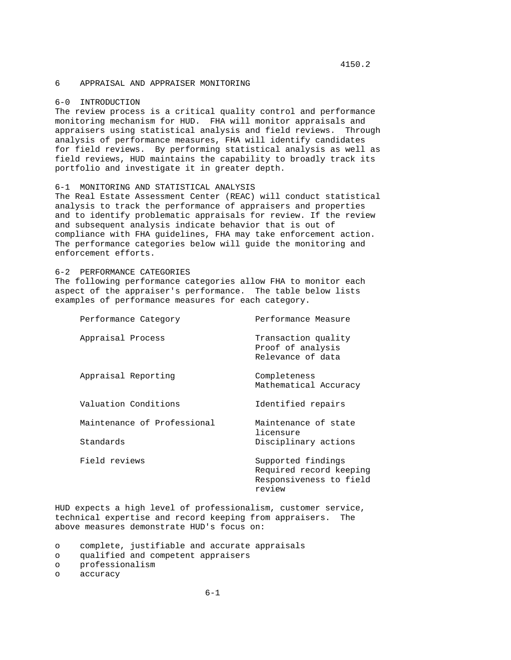# 4150.2

## 6 APPRAISAL AND APPRAISER MONITORING

### 6-0 INTRODUCTION

The review process is a critical quality control and performance monitoring mechanism for HUD. FHA will monitor appraisals and appraisers using statistical analysis and field reviews. Through analysis of performance measures, FHA will identify candidates for field reviews. By performing statistical analysis as well as field reviews, HUD maintains the capability to broadly track its portfolio and investigate it in greater depth.

## 6-1 MONITORING AND STATISTICAL ANALYSIS

The Real Estate Assessment Center (REAC) will conduct statistical analysis to track the performance of appraisers and properties and to identify problematic appraisals for review. If the review and subsequent analysis indicate behavior that is out of compliance with FHA guidelines, FHA may take enforcement action. The performance categories below will guide the monitoring and enforcement efforts.

#### 6-2 PERFORMANCE CATEGORIES

The following performance categories allow FHA to monitor each aspect of the appraiser's performance. The table below lists examples of performance measures for each category.

| Performance Category |                             | Performance Measure                                                                |
|----------------------|-----------------------------|------------------------------------------------------------------------------------|
| Appraisal Process    |                             | Transaction quality<br>Proof of analysis<br>Relevance of data                      |
| Appraisal Reporting  |                             | Completeness<br>Mathematical Accuracy                                              |
| Valuation Conditions |                             | Identified repairs                                                                 |
|                      | Maintenance of Professional | Maintenance of state<br>licensure                                                  |
| Standards            |                             | Disciplinary actions                                                               |
| Field reviews        |                             | Supported findings<br>Required record keeping<br>Responsiveness to field<br>review |

HUD expects a high level of professionalism, customer service, technical expertise and record keeping from appraisers. The above measures demonstrate HUD's focus on:

o complete, justifiable and accurate appraisals

- o professionalism
- o accuracy

o qualified and competent appraisers